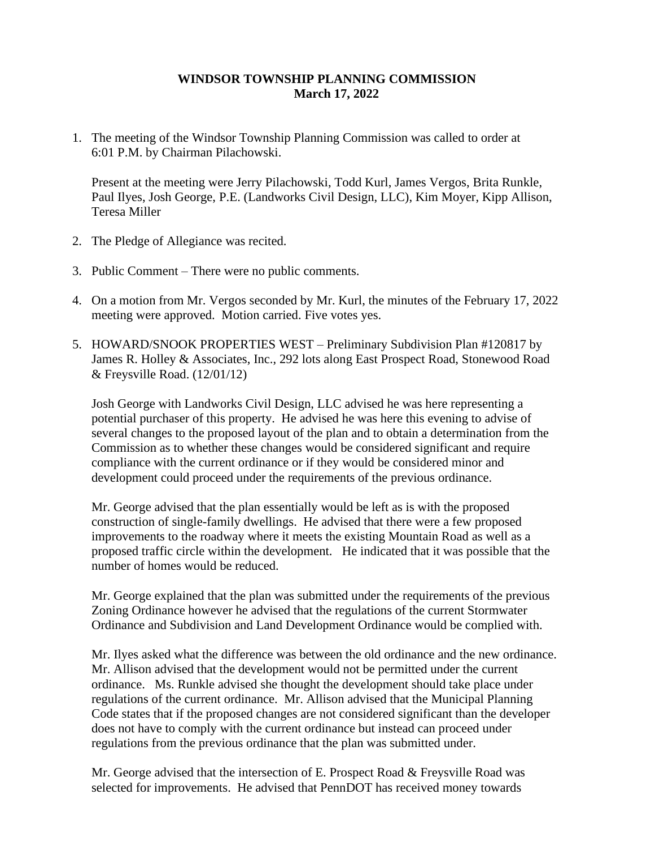## **WINDSOR TOWNSHIP PLANNING COMMISSION March 17, 2022**

1. The meeting of the Windsor Township Planning Commission was called to order at 6:01 P.M. by Chairman Pilachowski.

Present at the meeting were Jerry Pilachowski, Todd Kurl, James Vergos, Brita Runkle, Paul Ilyes, Josh George, P.E. (Landworks Civil Design, LLC), Kim Moyer, Kipp Allison, Teresa Miller

- 2. The Pledge of Allegiance was recited.
- 3. Public Comment There were no public comments.
- 4. On a motion from Mr. Vergos seconded by Mr. Kurl, the minutes of the February 17, 2022 meeting were approved. Motion carried. Five votes yes.
- 5. HOWARD/SNOOK PROPERTIES WEST Preliminary Subdivision Plan #120817 by James R. Holley & Associates, Inc., 292 lots along East Prospect Road, Stonewood Road & Freysville Road. (12/01/12)

Josh George with Landworks Civil Design, LLC advised he was here representing a potential purchaser of this property. He advised he was here this evening to advise of several changes to the proposed layout of the plan and to obtain a determination from the Commission as to whether these changes would be considered significant and require compliance with the current ordinance or if they would be considered minor and development could proceed under the requirements of the previous ordinance.

Mr. George advised that the plan essentially would be left as is with the proposed construction of single-family dwellings. He advised that there were a few proposed improvements to the roadway where it meets the existing Mountain Road as well as a proposed traffic circle within the development. He indicated that it was possible that the number of homes would be reduced.

Mr. George explained that the plan was submitted under the requirements of the previous Zoning Ordinance however he advised that the regulations of the current Stormwater Ordinance and Subdivision and Land Development Ordinance would be complied with.

Mr. Ilyes asked what the difference was between the old ordinance and the new ordinance. Mr. Allison advised that the development would not be permitted under the current ordinance. Ms. Runkle advised she thought the development should take place under regulations of the current ordinance. Mr. Allison advised that the Municipal Planning Code states that if the proposed changes are not considered significant than the developer does not have to comply with the current ordinance but instead can proceed under regulations from the previous ordinance that the plan was submitted under.

Mr. George advised that the intersection of E. Prospect Road & Freysville Road was selected for improvements. He advised that PennDOT has received money towards